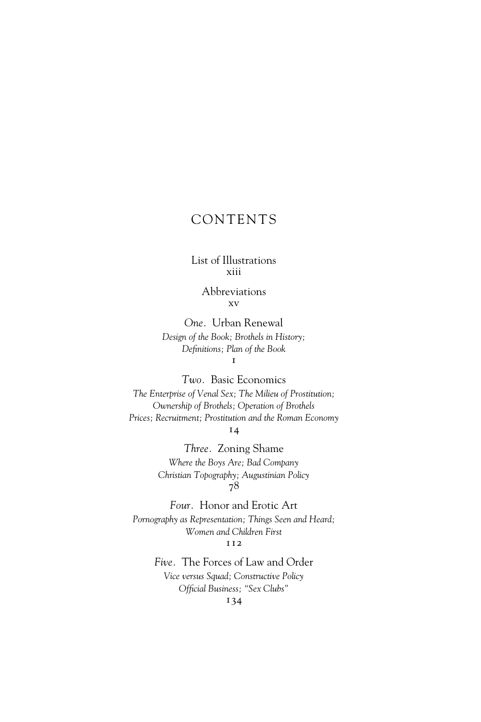## CONTENTS

## List of Illustrations xiii

Abbreviations xv

*One.* Urban Renewal *Design of the Book; Brothels in History; Definitions; Plan of the Book*  $\mathbf{I}$ 

*Two.* Basic Economics *The Enterprise of Venal Sex; The Milieu of Prostitution; Ownership of Brothels; Operation of Brothels Prices; Recruitment; Prostitution and the Roman Economy* 14

> *Three.* Zoning Shame *Where the Boys Are; Bad Company Christian Topography; Augustinian Policy* 78

*Four.* Honor and Erotic Art *Pornography as Representation; Things Seen and Heard; Women and Children First* 112

> *Five.* The Forces of Law and Order *Vice versus Squad; Constructive Policy* Official Business; "Sex Clubs" 134